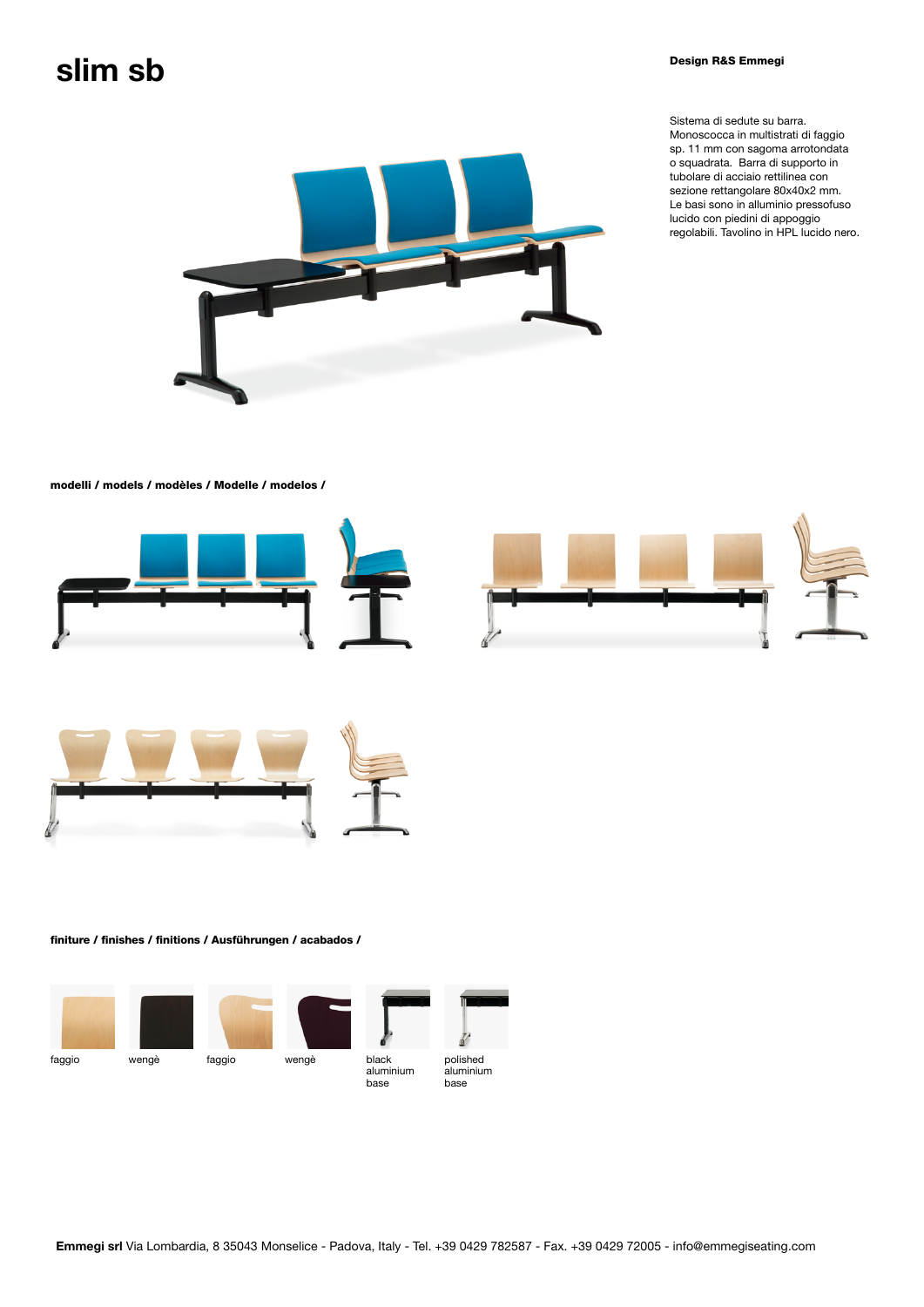## $\mathsf{slim}$  Sb  $\blacksquare$

Sistema di sedute su barra. Monoscocca in multistrati di faggio sp. 11 mm con sagoma arrotondata o squadrata. Barra di supporto in tubolare di acciaio rettilinea con sezione rettangolare 80x40x2 mm. Le basi sono in alluminio pressofuso lucido con piedini di appoggio regolabili. Tavolino in HPL lucido nero.



## modelli / models / modèles / Modelle / modelos /







## finiture / finishes / finitions / Ausführungen / acabados /